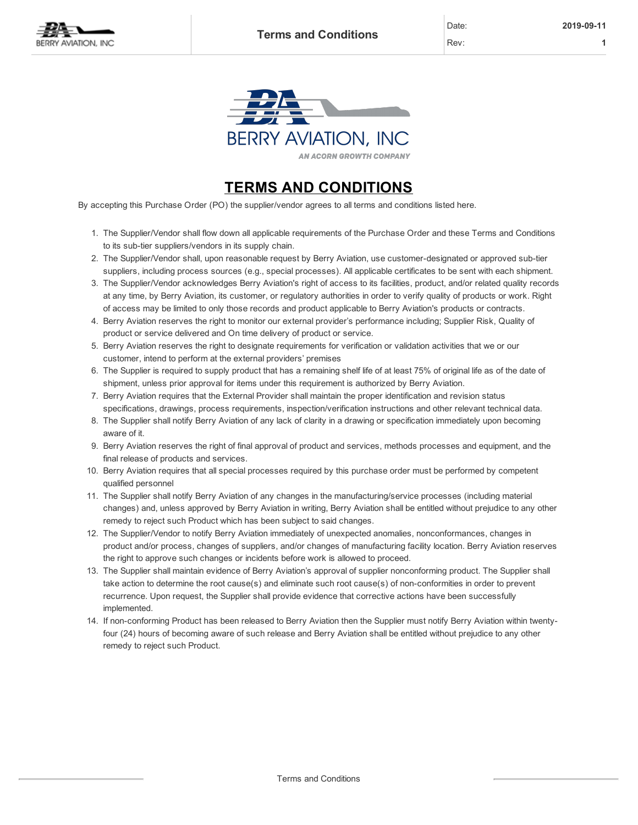

**BERRY AVIATION, INC AN ACORN GROWTH COMPANY** 

## TERMS AND CONDITIONS

By accepting this Purchase Order (PO) the supplier/vendor agrees to all terms and conditions listed here.

- 1. The Supplier/Vendor shall flow down all applicable requirements of the Purchase Order and these Terms and Conditions to its sub-tier suppliers/vendors in its supply chain.
- 2. The Supplier/Vendor shall, upon reasonable request by Berry Aviation, use customer-designated or approved sub-tier suppliers, including process sources (e.g., special processes). All applicable certificates to be sent with each shipment.
- 3. The Supplier/Vendor acknowledges Berry Aviation's right of access to its facilities, product, and/or related quality records at any time, by Berry Aviation, its customer, or regulatory authorities in order to verify quality of products or work. Right of access may be limited to only those records and product applicable to Berry Aviation's products or contracts.
- 4. Berry Aviation reserves the right to monitor our external provider's performance including; Supplier Risk, Quality of product or service delivered and On time delivery of product or service.
- 5. Berry Aviation reserves the right to designate requirements for verification or validation activities that we or our customer, intend to perform at the external providers' premises
- 6. The Supplier is required to supply product that has a remaining shelf life of at least 75% of original life as of the date of shipment, unless prior approval for items under this requirement is authorized by Berry Aviation.
- 7. Berry Aviation requires that the External Provider shall maintain the proper identification and revision status specifications, drawings, process requirements, inspection/verification instructions and other relevant technical data.
- 8. The Supplier shall notify Berry Aviation of any lack of clarity in a drawing or specification immediately upon becoming aware of it.
- 9. Berry Aviation reserves the right of final approval of product and services, methods processes and equipment, and the final release of products and services.
- 10. Berry Aviation requires that all special processes required by this purchase order must be performed by competent qualified personnel
- 11. The Supplier shall notify Berry Aviation of any changes in the manufacturing/service processes (including material changes) and, unless approved by Berry Aviation in writing, Berry Aviation shall be entitled without prejudice to any other remedy to reject such Product which has been subject to said changes.
- 12. The Supplier/Vendor to notify Berry Aviation immediately of unexpected anomalies, nonconformances, changes in product and/or process, changes of suppliers, and/or changes of manufacturing facility location. Berry Aviation reserves the right to approve such changes or incidents before work is allowed to proceed.
- 13. The Supplier shall maintain evidence of Berry Aviation's approval of supplier nonconforming product. The Supplier shall take action to determine the root cause(s) and eliminate such root cause(s) of non-conformities in order to prevent recurrence. Upon request, the Supplier shall provide evidence that corrective actions have been successfully implemented.
- 14. If non-conforming Product has been released to Berry Aviation then the Supplier must notify Berry Aviation within twentyfour (24) hours of becoming aware of such release and Berry Aviation shall be entitled without prejudice to any other remedy to reject such Product.